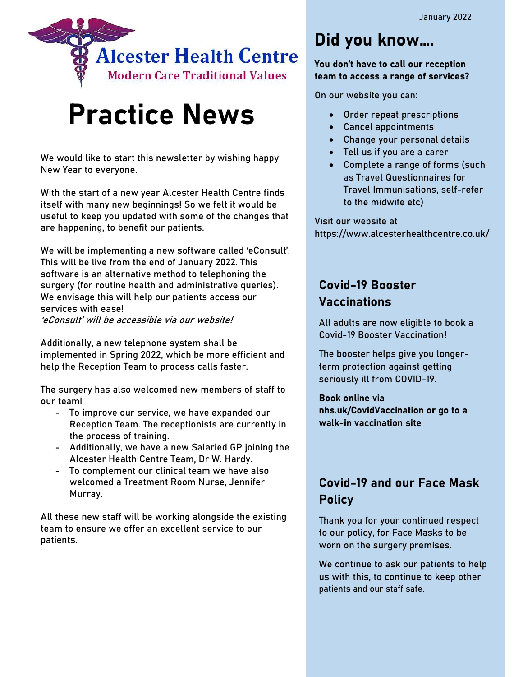

# Practice News

We would like to start this newsletter by wishing happy New Year to everyone.

With the start of a new year Alcester Health Centre finds itself with many new beginnings! So we felt it would be useful to keep you updated with some of the changes that are happening, to benefit our patients.

We will be implementing a new software called 'eConsult'. This will be live from the end of January 2022. This software is an alternative method to telephoning the surgery (for routine health and administrative queries). We envisage this will help our patients access our services with ease! 'eConsult' will be accessible via our website!

Additionally, a new telephone system shall be implemented in Spring 2022, which be more efficient and help the Reception Team to process calls faster.

The surgery has also welcomed new members of staff to our team!

- To improve our service, we have expanded our Reception Team. The receptionists are currently in the process of training.
- Additionally, we have a new Salaried GP joining the Alcester Health Centre Team, Dr W. Hardy.
- To complement our clinical team we have also welcomed a Treatment Room Nurse, Jennifer Murray.

All these new staff will be working alongside the existing team to ensure we offer an excellent service to our patients.

# Did you know….

You don't have to call our reception team to access a range of services?

On our website you can:

- Order repeat prescriptions
- Cancel appointments
- Change your personal details
- Tell us if you are a carer
- Complete a range of forms (such as Travel Questionnaires for Travel Immunisations, self-refer to the midwife etc)

Visit our website at https://www.alcesterhealthcentre.co.uk/

### Covid-19 Booster Vaccinations

All adults are now eligible to book a Covid-19 Booster Vaccination!

The booster helps give you longerterm protection against getting seriously ill from COVID-19.

Book online via nhs.uk/CovidVaccination or go to a walk-in vaccination site

### Covid-19 and our Face Mask **Policy**

Thank you for your continued respect to our policy, for Face Masks to be worn on the surgery premises.

We continue to ask our patients to help us with this, to continue to keep other patients and our staff safe.